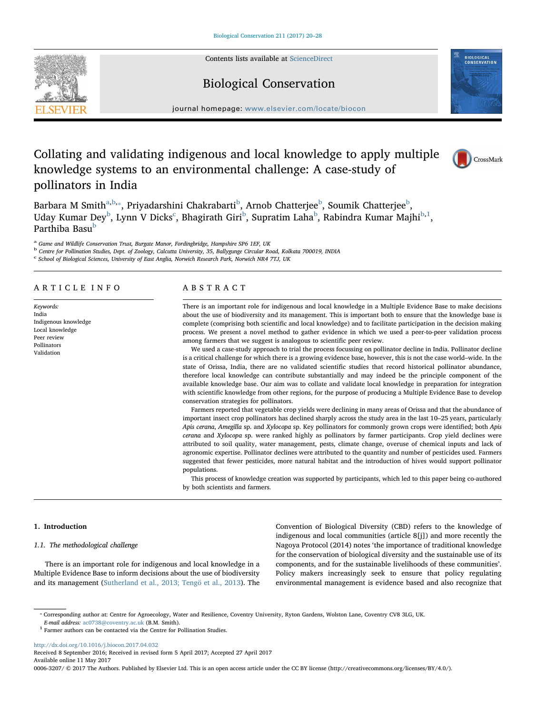Contents lists available at [ScienceDirect](http://www.sciencedirect.com/science/journal/00063207)



journal homepage: [www.elsevier.com/locate/biocon](http://www.elsevier.com/locate/biocon)

Biological Conservation

# Collating and validating indigenous and local knowledge to apply multiple knowledge systems to an environmental challenge: A case-study of pollinators in India



Barbara M Smith<sup>[a,](#page-0-0)[b,](#page-0-1)</sup>\*, Priyadarshini Chakra[b](#page-0-1)arti<sup>b</sup>, Arnob Chatterjee<sup>b</sup>, Soumik Chatterjee<sup>b</sup>, Uday Kumar Dey<sup>[b](#page-0-1)</sup>, Lynn V Di[c](#page-0-3)ks<sup>c</sup>, Bhagirath Giri<sup>b</sup>, Supratim Laha<sup>b</sup>, Rabindra Kumar Majhi<sup>b[,1](#page-0-4)</sup>, Parthi[b](#page-0-1)a Basub

<span id="page-0-0"></span><sup>a</sup> Game and Wildlife Conservation Trust, Burgate Manor, Fordingbridge, Hampshire SP6 1EF, UK

<span id="page-0-1"></span><sup>b</sup> Centre for Pollination Studies, Dept. of Zoology, Calcutta University, 35, Ballygunge Circular Road, Kolkata 700019, INDIA

<span id="page-0-3"></span><sup>c</sup> School of Biological Sciences, University of East Anglia, Norwich Research Park, Norwich NR4 7TJ, UK

### ARTICLE INFO

Keywords: India Indigenous knowledge Local knowledge Peer review Pollinators Validation

## ABSTRACT

There is an important role for indigenous and local knowledge in a Multiple Evidence Base to make decisions about the use of biodiversity and its management. This is important both to ensure that the knowledge base is complete (comprising both scientific and local knowledge) and to facilitate participation in the decision making process. We present a novel method to gather evidence in which we used a peer-to-peer validation process among farmers that we suggest is analogous to scientific peer review.

We used a case-study approach to trial the process focussing on pollinator decline in India. Pollinator decline is a critical challenge for which there is a growing evidence base, however, this is not the case world–wide. In the state of Orissa, India, there are no validated scientific studies that record historical pollinator abundance, therefore local knowledge can contribute substantially and may indeed be the principle component of the available knowledge base. Our aim was to collate and validate local knowledge in preparation for integration with scientific knowledge from other regions, for the purpose of producing a Multiple Evidence Base to develop conservation strategies for pollinators.

Farmers reported that vegetable crop yields were declining in many areas of Orissa and that the abundance of important insect crop pollinators has declined sharply across the study area in the last 10–25 years, particularly Apis cerana, Amegilla sp. and Xylocopa sp. Key pollinators for commonly grown crops were identified; both Apis cerana and Xylocopa sp. were ranked highly as pollinators by farmer participants. Crop yield declines were attributed to soil quality, water management, pests, climate change, overuse of chemical inputs and lack of agronomic expertise. Pollinator declines were attributed to the quantity and number of pesticides used. Farmers suggested that fewer pesticides, more natural habitat and the introduction of hives would support pollinator populations.

This process of knowledge creation was supported by participants, which led to this paper being co-authored by both scientists and farmers.

### 1. Introduction

### 1.1. The methodological challenge

There is an important role for indigenous and local knowledge in a Multiple Evidence Base to inform decisions about the use of biodiversity and its management [\(Sutherland et al., 2013; Tengö et al., 2013](#page-8-0)). The

Convention of Biological Diversity (CBD) refers to the knowledge of indigenous and local communities (article 8[j]) and more recently the Nagoya Protocol (2014) notes 'the importance of traditional knowledge for the conservation of biological diversity and the sustainable use of its components, and for the sustainable livelihoods of these communities'. Policy makers increasingly seek to ensure that policy regulating environmental management is evidence based and also recognize that

<span id="page-0-2"></span>⁎ Corresponding author at: Centre for Agroecology, Water and Resilience, Coventry University, Ryton Gardens, Wolston Lane, Coventry CV8 3LG, UK. E-mail address: [ac0738@coventry.ac.uk](mailto:ac0738@coventry.ac.uk) (B.M. Smith).

<http://dx.doi.org/10.1016/j.biocon.2017.04.032>

Received 8 September 2016; Received in revised form 5 April 2017; Accepted 27 April 2017 Available online 11 May 2017

0006-3207/ © 2017 The Authors. Published by Elsevier Ltd. This is an open access article under the CC BY license (http://creativecommons.org/licenses/BY/4.0/).

<span id="page-0-4"></span><sup>1</sup> Farmer authors can be contacted via the Centre for Pollination Studies.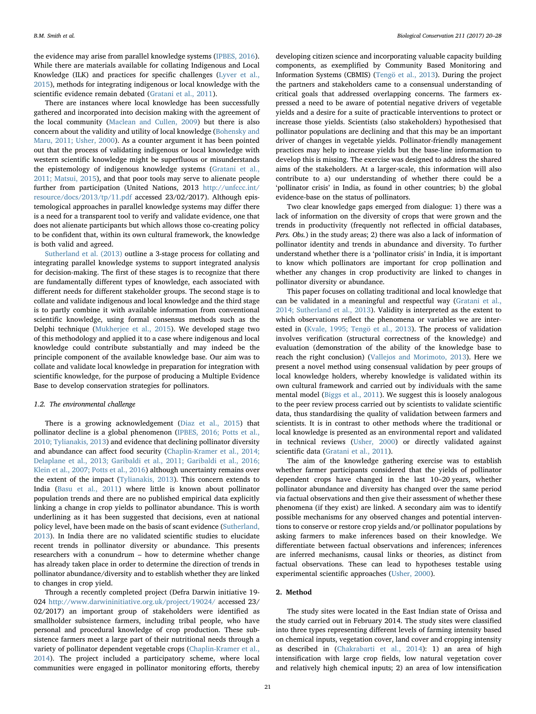the evidence may arise from parallel knowledge systems [\(IPBES, 2016](#page-8-1)). While there are materials available for collating Indigenous and Local Knowledge (ILK) and practices for specific challenges [\(Lyver et al.,](#page-8-2) [2015\)](#page-8-2), methods for integrating indigenous or local knowledge with the scientific evidence remain debated ([Gratani et al., 2011](#page-8-3)).

There are instances where local knowledge has been successfully gathered and incorporated into decision making with the agreement of the local community [\(Maclean and Cullen, 2009](#page-8-4)) but there is also concern about the validity and utility of local knowledge ([Bohensky and](#page-7-0) [Maru, 2011; Usher, 2000\)](#page-7-0). As a counter argument it has been pointed out that the process of validating indigenous or local knowledge with western scientific knowledge might be superfluous or misunderstands the epistemology of indigenous knowledge systems ([Gratani et al.,](#page-8-3) [2011; Matsui, 2015](#page-8-3)), and that poor tools may serve to alienate people further from participation (United Nations, 2013 [http://unfccc.int/](http://unfccc.int/resource/docs/2013/tp/11.pdf) [resource/docs/2013/tp/11.pdf](http://unfccc.int/resource/docs/2013/tp/11.pdf) accessed 23/02/2017). Although epistemological approaches in parallel knowledge systems may differ there is a need for a transparent tool to verify and validate evidence, one that does not alienate participants but which allows those co-creating policy to be confident that, within its own cultural framework, the knowledge is both valid and agreed.

[Sutherland et al. \(2013\)](#page-8-0) outline a 3-stage process for collating and integrating parallel knowledge systems to support integrated analysis for decision-making. The first of these stages is to recognize that there are fundamentally different types of knowledge, each associated with different needs for different stakeholder groups. The second stage is to collate and validate indigenous and local knowledge and the third stage is to partly combine it with available information from conventional scientific knowledge, using formal consensus methods such as the Delphi technique ([Mukherjee et al., 2015\)](#page-8-5). We developed stage two of this methodology and applied it to a case where indigenous and local knowledge could contribute substantially and may indeed be the principle component of the available knowledge base. Our aim was to collate and validate local knowledge in preparation for integration with scientific knowledge, for the purpose of producing a Multiple Evidence Base to develop conservation strategies for pollinators.

#### 1.2. The environmental challenge

There is a growing acknowledgement ([Diaz et al., 2015\)](#page-8-6) that pollinator decline is a global phenomenon [\(IPBES, 2016; Potts et al.,](#page-8-1) [2010; Tylianakis, 2013](#page-8-1)) and evidence that declining pollinator diversity and abundance can affect food security ([Chaplin-Kramer et al., 2014;](#page-7-1) [Delaplane et al., 2013; Garibaldi et al., 2011; Garibaldi et al., 2016;](#page-7-1) [Klein et al., 2007; Potts et al., 2016\)](#page-7-1) although uncertainty remains over the extent of the impact [\(Tylianakis, 2013](#page-8-7)). This concern extends to India ([Basu et al., 2011\)](#page-7-2) where little is known about pollinator population trends and there are no published empirical data explicitly linking a change in crop yields to pollinator abundance. This is worth underlining as it has been suggested that decisions, even at national policy level, have been made on the basis of scant evidence [\(Sutherland,](#page-8-8) [2013\)](#page-8-8). In India there are no validated scientific studies to elucidate recent trends in pollinator diversity or abundance. This presents researchers with a conundrum – how to determine whether change has already taken place in order to determine the direction of trends in pollinator abundance/diversity and to establish whether they are linked to changes in crop yield.

Through a recently completed project (Defra Darwin initiative 19- 024 [http://www.darwininitiative.org.uk/project/19024/](http://www.darwininitiative.org.uk/project/19024) accessed 23/ 02/2017) an important group of stakeholders were identified as smallholder subsistence farmers, including tribal people, who have personal and procedural knowledge of crop production. These subsistence farmers meet a large part of their nutritional needs through a variety of pollinator dependent vegetable crops [\(Chaplin-Kramer et al.,](#page-7-1) [2014\)](#page-7-1). The project included a participatory scheme, where local communities were engaged in pollinator monitoring efforts, thereby

developing citizen science and incorporating valuable capacity building components, as exemplified by Community Based Monitoring and Information Systems (CBMIS) ([Tengö et al., 2013\)](#page-8-9). During the project the partners and stakeholders came to a consensual understanding of critical goals that addressed overlapping concerns. The farmers expressed a need to be aware of potential negative drivers of vegetable yields and a desire for a suite of practicable interventions to protect or increase those yields. Scientists (also stakeholders) hypothesised that pollinator populations are declining and that this may be an important driver of changes in vegetable yields. Pollinator-friendly management practices may help to increase yields but the base-line information to develop this is missing. The exercise was designed to address the shared aims of the stakeholders. At a larger-scale, this information will also contribute to a) our understanding of whether there could be a 'pollinator crisis' in India, as found in other countries; b) the global evidence-base on the status of pollinators.

Two clear knowledge gaps emerged from dialogue: 1) there was a lack of information on the diversity of crops that were grown and the trends in productivity (frequently not reflected in official databases, Pers. Obs.) in the study areas; 2) there was also a lack of information of pollinator identity and trends in abundance and diversity. To further understand whether there is a 'pollinator crisis' in India, it is important to know which pollinators are important for crop pollination and whether any changes in crop productivity are linked to changes in pollinator diversity or abundance.

This paper focuses on collating traditional and local knowledge that can be validated in a meaningful and respectful way ([Gratani et al.,](#page-8-10) [2014; Sutherland et al., 2013](#page-8-10)). Validity is interpreted as the extent to which observations reflect the phenomena or variables we are interested in [\(Kvale, 1995; Tengö et al., 2013](#page-8-11)). The process of validation involves verification (structural correctness of the knowledge) and evaluation (demonstration of the ability of the knowledge base to reach the right conclusion) ([Vallejos and Morimoto, 2013](#page-8-12)). Here we present a novel method using consensual validation by peer groups of local knowledge holders, whereby knowledge is validated within its own cultural framework and carried out by individuals with the same mental model ([Biggs et al., 2011](#page-7-3)). We suggest this is loosely analogous to the peer review process carried out by scientists to validate scientific data, thus standardising the quality of validation between farmers and scientists. It is in contrast to other methods where the traditional or local knowledge is presented as an environmental report and validated in technical reviews ([Usher, 2000](#page-8-13)) or directly validated against scientific data ([Gratani et al., 2011\)](#page-8-3).

The aim of the knowledge gathering exercise was to establish whether farmer participants considered that the yields of pollinator dependent crops have changed in the last 10–20 years, whether pollinator abundance and diversity has changed over the same period via factual observations and then give their assessment of whether these phenomena (if they exist) are linked. A secondary aim was to identify possible mechanisms for any observed changes and potential interventions to conserve or restore crop yields and/or pollinator populations by asking farmers to make inferences based on their knowledge. We differentiate between factual observations and inferences; inferences are inferred mechanisms, causal links or theories, as distinct from factual observations. These can lead to hypotheses testable using experimental scientific approaches [\(Usher, 2000](#page-8-13)).

### 2. Method

The study sites were located in the East Indian state of Orissa and the study carried out in February 2014. The study sites were classified into three types representing different levels of farming intensity based on chemical inputs, vegetation cover, land cover and cropping intensity as described in ([Chakrabarti et al., 2014](#page-7-4)): 1) an area of high intensification with large crop fields, low natural vegetation cover and relatively high chemical inputs; 2) an area of low intensification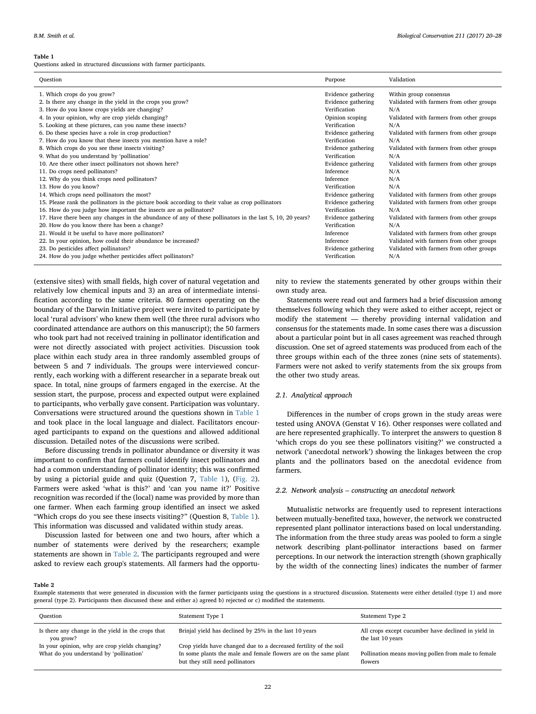#### <span id="page-2-0"></span>Table 1

Questions asked in structured discussions with farmer participants.

| Question                                                                                                  | Purpose            | Validation                               |
|-----------------------------------------------------------------------------------------------------------|--------------------|------------------------------------------|
| 1. Which crops do you grow?                                                                               | Evidence gathering | Within group consensus                   |
| 2. Is there any change in the yield in the crops you grow?                                                | Evidence gathering | Validated with farmers from other groups |
| 3. How do you know crops yields are changing?                                                             | Verification       | N/A                                      |
| 4. In your opinion, why are crop yields changing?                                                         | Opinion scoping    | Validated with farmers from other groups |
| 5. Looking at these pictures, can you name these insects?                                                 | Verification       | N/A                                      |
| 6. Do these species have a role in crop production?                                                       | Evidence gathering | Validated with farmers from other groups |
| 7. How do you know that these insects you mention have a role?                                            | Verification       | N/A                                      |
| 8. Which crops do you see these insects visiting?                                                         | Evidence gathering | Validated with farmers from other groups |
| 9. What do you understand by 'pollination'                                                                | Verification       | N/A                                      |
| 10. Are there other insect pollinators not shown here?                                                    | Evidence gathering | Validated with farmers from other groups |
| 11. Do crops need pollinators?                                                                            | Inference          | N/A                                      |
| 12. Why do you think crops need pollinators?                                                              | Inference          | N/A                                      |
| 13. How do you know?                                                                                      | Verification       | N/A                                      |
| 14. Which crops need pollinators the most?                                                                | Evidence gathering | Validated with farmers from other groups |
| 15. Please rank the pollinators in the picture book according to their value as crop pollinators          | Evidence gathering | Validated with farmers from other groups |
| 16. How do you judge how important the insects are as pollinators?                                        | Verification       | N/A                                      |
| 17. Have there been any changes in the abundance of any of these pollinators in the last 5, 10, 20 years? | Evidence gathering | Validated with farmers from other groups |
| 20. How do you know there has been a change?                                                              | Verification       | N/A                                      |
| 21. Would it be useful to have more pollinators?                                                          | Inference          | Validated with farmers from other groups |
| 22. In your opinion, how could their abundance be increased?                                              | Inference          | Validated with farmers from other groups |
| 23. Do pesticides affect pollinators?                                                                     | Evidence gathering | Validated with farmers from other groups |
| 24. How do you judge whether pesticides affect pollinators?                                               | Verification       | N/A                                      |

(extensive sites) with small fields, high cover of natural vegetation and relatively low chemical inputs and 3) an area of intermediate intensification according to the same criteria. 80 farmers operating on the boundary of the Darwin Initiative project were invited to participate by local 'rural advisors' who knew them well (the three rural advisors who coordinated attendance are authors on this manuscript); the 50 farmers who took part had not received training in pollinator identification and were not directly associated with project activities. Discussion took place within each study area in three randomly assembled groups of between 5 and 7 individuals. The groups were interviewed concurrently, each working with a different researcher in a separate break out space. In total, nine groups of farmers engaged in the exercise. At the session start, the purpose, process and expected output were explained to participants, who verbally gave consent. Participation was voluntary. Conversations were structured around the questions shown in [Table 1](#page-2-0) and took place in the local language and dialect. Facilitators encouraged participants to expand on the questions and allowed additional discussion. Detailed notes of the discussions were scribed.

Before discussing trends in pollinator abundance or diversity it was important to confirm that farmers could identify insect pollinators and had a common understanding of pollinator identity; this was confirmed by using a pictorial guide and quiz (Question 7, [Table 1\)](#page-2-0), ([Fig. 2](#page-3-0)). Farmers were asked 'what is this?' and 'can you name it?' Positive recognition was recorded if the (local) name was provided by more than one farmer. When each farming group identified an insect we asked "Which crops do you see these insects visiting?" (Question 8, [Table 1](#page-2-0)). This information was discussed and validated within study areas.

Discussion lasted for between one and two hours, after which a number of statements were derived by the researchers; example statements are shown in [Table 2.](#page-2-1) The participants regrouped and were asked to review each group's statements. All farmers had the opportunity to review the statements generated by other groups within their own study area.

Statements were read out and farmers had a brief discussion among themselves following which they were asked to either accept, reject or modify the statement — thereby providing internal validation and consensus for the statements made. In some cases there was a discussion about a particular point but in all cases agreement was reached through discussion. One set of agreed statements was produced from each of the three groups within each of the three zones (nine sets of statements). Farmers were not asked to verify statements from the six groups from the other two study areas.

### 2.1. Analytical approach

Differences in the number of crops grown in the study areas were tested using ANOVA (Genstat V 16). Other responses were collated and are here represented graphically. To interpret the answers to question 8 'which crops do you see these pollinators visiting?' we constructed a network ('anecdotal network') showing the linkages between the crop plants and the pollinators based on the anecdotal evidence from farmers.

#### 2.2. Network analysis – constructing an anecdotal network

Mutualistic networks are frequently used to represent interactions between mutually-benefited taxa, however, the network we constructed represented plant pollinator interactions based on local understanding. The information from the three study areas was pooled to form a single network describing plant-pollinator interactions based on farmer perceptions. In our network the interaction strength (shown graphically by the width of the connecting lines) indicates the number of farmer

#### <span id="page-2-1"></span>Table 2

Example statements that were generated in discussion with the farmer participants using the questions in a structured discussion. Statements were either detailed (type 1) and more general (type 2). Participants then discussed these and either a) agreed b) rejected or c) modified the statements.

| <b>Question</b>                                                                           | Statement Type 1                                                                                                                                                         | Statement Type 2                                                         |
|-------------------------------------------------------------------------------------------|--------------------------------------------------------------------------------------------------------------------------------------------------------------------------|--------------------------------------------------------------------------|
| Is there any change in the yield in the crops that<br>you grow?                           | Brinjal yield has declined by 25% in the last 10 years                                                                                                                   | All crops except cucumber have declined in yield in<br>the last 10 years |
| In your opinion, why are crop yields changing?<br>What do you understand by 'pollination' | Crop yields have changed due to a decreased fertility of the soil<br>In some plants the male and female flowers are on the same plant<br>but they still need pollinators | Pollination means moving pollen from male to female<br>flowers           |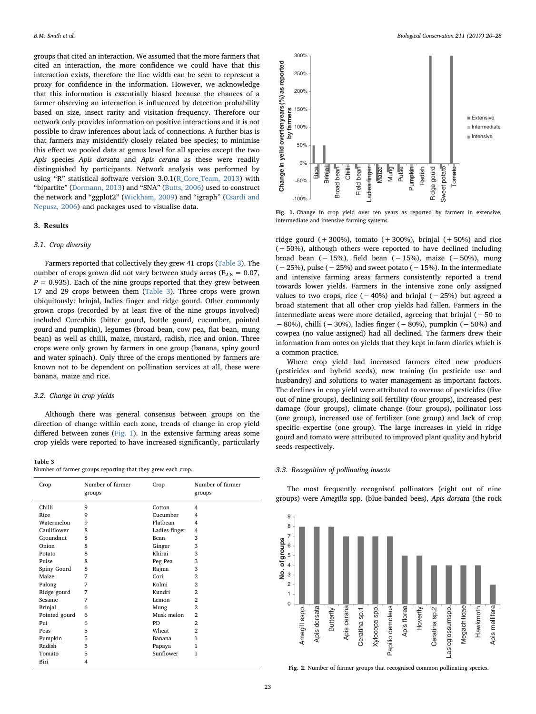groups that cited an interaction. We assumed that the more farmers that cited an interaction, the more confidence we could have that this interaction exists, therefore the line width can be seen to represent a proxy for confidence in the information. However, we acknowledge that this information is essentially biased because the chances of a farmer observing an interaction is influenced by detection probability based on size, insect rarity and visitation frequency. Therefore our network only provides information on positive interactions and it is not possible to draw inferences about lack of connections. A further bias is that farmers may misidentify closely related bee species; to minimise this effect we pooled data at genus level for all species except the two Apis species Apis dorsata and Apis cerana as these were readily distinguished by participants. Network analysis was performed by using "R" statistical software version 3.0.1[\(R\\_Core\\_Team, 2013](#page-8-14)) with "bipartite" [\(Dormann, 2013](#page-8-15)) and "SNA" [\(Butts, 2006\)](#page-7-5) used to construct the network and "ggplot2" [\(Wickham, 2009](#page-8-16)) and "igraph" ([Csardi and](#page-7-6) [Nepusz, 2006\)](#page-7-6) and packages used to visualise data.

### 3. Results

#### 3.1. Crop diversity

Farmers reported that collectively they grew 41 crops [\(Table 3](#page-3-1)). The number of crops grown did not vary between study areas ( $F_{2,8} = 0.07$ ,  $P = 0.935$ ). Each of the nine groups reported that they grew between 17 and 29 crops between them [\(Table 3](#page-3-1)). Three crops were grown ubiquitously: brinjal, ladies finger and ridge gourd. Other commonly grown crops (recorded by at least five of the nine groups involved) included Curcubits (bitter gourd, bottle gourd, cucumber, pointed gourd and pumpkin), legumes (broad bean, cow pea, flat bean, mung bean) as well as chilli, maize, mustard, radish, rice and onion. Three crops were only grown by farmers in one group (banana, spiny gourd and water spinach). Only three of the crops mentioned by farmers are known not to be dependent on pollination services at all, these were banana, maize and rice.

#### 3.2. Change in crop yields

Although there was general consensus between groups on the direction of change within each zone, trends of change in crop yield differed between zones [\(Fig. 1](#page-3-2)). In the extensive farming areas some crop yields were reported to have increased significantly, particularly

#### <span id="page-3-1"></span>Table 3

Number of farmer groups reporting that they grew each crop.

| Crop           | Number of farmer<br>groups | Crop           | Number of farmer<br>groups |
|----------------|----------------------------|----------------|----------------------------|
| Chilli         | 9                          | Cotton         | 4                          |
| Rice           | 9                          | Cucumber       | 4                          |
| Watermelon     | 9                          | Flatbean       | 4                          |
| Cauliflower    | 8                          | Ladies finger  | 4                          |
| Groundnut      | 8                          | Bean           | 3                          |
| Onion          | 8                          | Ginger         | 3                          |
| Potato         | 8                          | Khirai         | 3                          |
| Pulse          | 8                          | Peg Pea        | 3                          |
| Spiny Gourd    | 8                          | Rajma          | 3                          |
| Maize          | 7                          | Cori           | $\overline{2}$             |
| Palong         | 7                          | Kolmi          | $\overline{2}$             |
| Ridge gourd    | 7                          | Kundri         | $\overline{2}$             |
| Sesame         | 7                          | Lemon          | $\overline{2}$             |
| <b>Brinjal</b> | 6                          | Mung           | $\overline{2}$             |
| Pointed gourd  | 6                          | Musk melon     | $\overline{2}$             |
| Pui            | 6                          | P <sub>D</sub> | $\overline{2}$             |
| Peas           | 5                          | Wheat          | $\overline{2}$             |
| Pumpkin        | 5                          | Banana         | 1                          |
| Radish         | 5                          | Papaya         | 1                          |
| Tomato         | 5                          | Sunflower      | 1                          |
| Biri           | $\overline{4}$             |                |                            |

<span id="page-3-2"></span>

Fig. 1. Change in crop yield over ten years as reported by farmers in extensive, intermediate and intensive farming systems.

ridge gourd  $(+300\%)$ , tomato  $(+300\%)$ , brinjal  $(+50\%)$  and rice (+50%), although others were reported to have declined including broad bean (−15%), field bean (−15%), maize (−50%), mung (−25%), pulse (−25%) and sweet potato (−15%). In the intermediate and intensive farming areas farmers consistently reported a trend towards lower yields. Farmers in the intensive zone only assigned values to two crops, rice  $(-40%)$  and brinjal  $(-25%)$  but agreed a broad statement that all other crop yields had fallen. Farmers in the intermediate areas were more detailed, agreeing that brinjal (−50 to −80%), chilli (−30%), ladies finger (−80%), pumpkin (−50%) and cowpea (no value assigned) had all declined. The farmers drew their information from notes on yields that they kept in farm diaries which is a common practice.

Where crop yield had increased farmers cited new products (pesticides and hybrid seeds), new training (in pesticide use and husbandry) and solutions to water management as important factors. The declines in crop yield were attributed to overuse of pesticides (five out of nine groups), declining soil fertility (four groups), increased pest damage (four groups), climate change (four groups), pollinator loss (one group), increased use of fertilizer (one group) and lack of crop specific expertise (one group). The large increases in yield in ridge gourd and tomato were attributed to improved plant quality and hybrid seeds respectively.

### 3.3. Recognition of pollinating insects

The most frequently recognised pollinators (eight out of nine groups) were Amegilla spp. (blue-banded bees), Apis dorsata (the rock

<span id="page-3-0"></span>

Fig. 2. Number of farmer groups that recognised common pollinating species.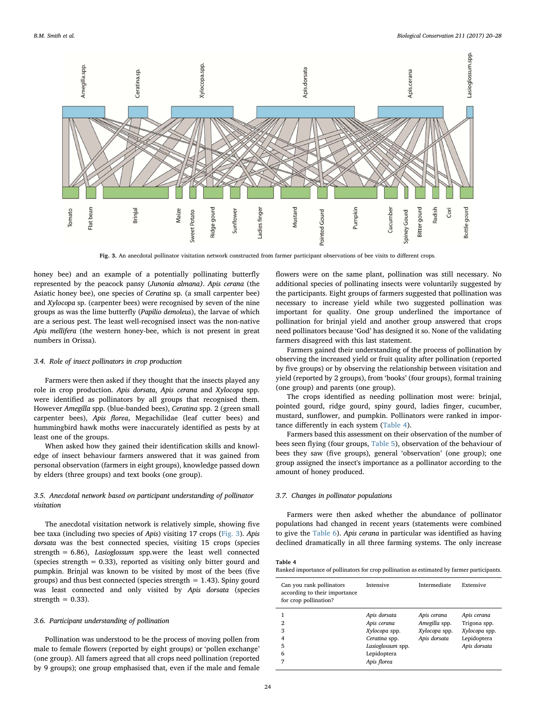<span id="page-4-0"></span>

Fig. 3. An anecdotal pollinator visitation network constructed from farmer participant observations of bee visits to different crops.

honey bee) and an example of a potentially pollinating butterfly represented by the peacock pansy (Junonia almana). Apis cerana (the Asiatic honey bee), one species of Ceratina sp. (a small carpenter bee) and Xylocopa sp. (carpenter bees) were recognised by seven of the nine groups as was the lime butterfly (Papilio demoleus), the larvae of which are a serious pest. The least well-recognised insect was the non-native Apis mellifera (the western honey-bee, which is not present in great numbers in Orissa).

#### 3.4. Role of insect pollinators in crop production

Farmers were then asked if they thought that the insects played any role in crop production. Apis dorsata, Apis cerana and Xylocopa spp. were identified as pollinators by all groups that recognised them. However Amegilla spp. (blue-banded bees), Ceratina spp. 2 (green small carpenter bees), Apis florea, Megachilidae (leaf cutter bees) and hummingbird hawk moths were inaccurately identified as pests by at least one of the groups.

When asked how they gained their identification skills and knowledge of insect behaviour farmers answered that it was gained from personal observation (farmers in eight groups), knowledge passed down by elders (three groups) and text books (one group).

### 3.5. Anecdotal network based on participant understanding of pollinator visitation

The anecdotal visitation network is relatively simple, showing five bee taxa (including two species of Apis) visiting 17 crops [\(Fig. 3](#page-4-0)). Apis dorsata was the best connected species, visiting 15 crops (species strength = 6.86), Lasioglossum spp.were the least well connected (species strength  $= 0.33$ ), reported as visiting only bitter gourd and pumpkin. Brinjal was known to be visited by most of the bees (five groups) and thus best connected (species strength  $= 1.43$ ). Spiny gourd was least connected and only visited by Apis dorsata (species strength  $= 0.33$ ).

#### 3.6. Participant understanding of pollination

Pollination was understood to be the process of moving pollen from male to female flowers (reported by eight groups) or 'pollen exchange' (one group). All famers agreed that all crops need pollination (reported by 9 groups); one group emphasised that, even if the male and female flowers were on the same plant, pollination was still necessary. No additional species of pollinating insects were voluntarily suggested by the participants. Eight groups of farmers suggested that pollination was necessary to increase yield while two suggested pollination was important for quality. One group underlined the importance of pollination for brinjal yield and another group answered that crops need pollinators because 'God' has designed it so. None of the validating farmers disagreed with this last statement.

Farmers gained their understanding of the process of pollination by observing the increased yield or fruit quality after pollination (reported by five groups) or by observing the relationship between visitation and yield (reported by 2 groups), from 'books' (four groups), formal training (one group) and parents (one group).

The crops identified as needing pollination most were: brinjal, pointed gourd, ridge gourd, spiny gourd, ladies finger, cucumber, mustard, sunflower, and pumpkin. Pollinators were ranked in importance differently in each system ([Table 4](#page-4-1)).

Farmers based this assessment on their observation of the number of bees seen flying (four groups, [Table 5](#page-5-0)), observation of the behaviour of bees they saw (five groups), general 'observation' (one group); one group assigned the insect's importance as a pollinator according to the amount of honey produced.

### 3.7. Changes in pollinator populations

Farmers were then asked whether the abundance of pollinator populations had changed in recent years (statements were combined to give the [Table 6](#page-5-1)). Apis cerana in particular was identified as having declined dramatically in all three farming systems. The only increase

### <span id="page-4-1"></span>Table 4

|  |  | Ranked importance of pollinators for crop pollination as estimated by farmer participants. |  |  |
|--|--|--------------------------------------------------------------------------------------------|--|--|
|--|--|--------------------------------------------------------------------------------------------|--|--|

| Can you rank pollinators<br>according to their importance<br>for crop pollination? | Intensive                                                                                                        | Intermediate                                                  | Extensive                                                                   |
|------------------------------------------------------------------------------------|------------------------------------------------------------------------------------------------------------------|---------------------------------------------------------------|-----------------------------------------------------------------------------|
| 2<br>3<br>4<br>5<br>6                                                              | Apis dorsata<br>Apis cerana<br>Xylocopa spp.<br>Ceratina spp.<br>Lasioglossum spp.<br>Lepidoptera<br>Apis florea | Apis cerana<br>Amegilla spp.<br>Xylocopa spp.<br>Apis dorsata | Apis cerana<br>Trigona spp.<br>Xylocopa spp.<br>Lepidoptera<br>Apis dorsata |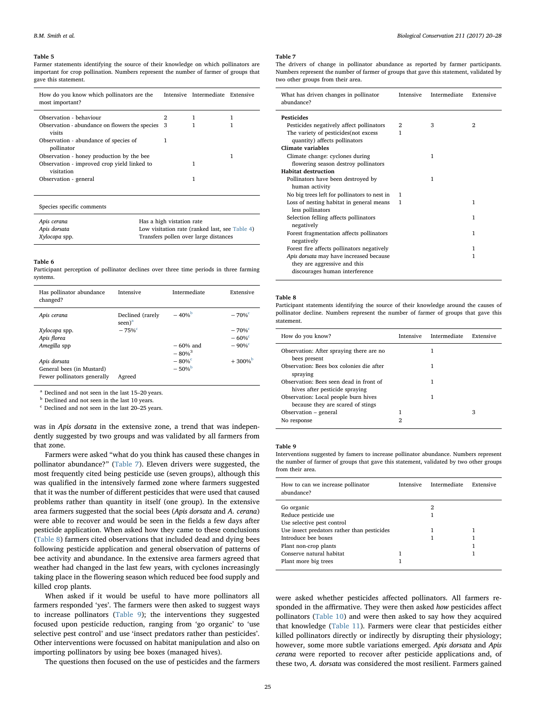#### <span id="page-5-0"></span>Table 5

Farmer statements identifying the source of their knowledge on which pollinators are important for crop pollination. Numbers represent the number of farmer of groups that gave this statement.

| How do you know which pollinators are the<br>most important? |   | Intensive Intermediate Extensive |  |
|--------------------------------------------------------------|---|----------------------------------|--|
| Observation - behaviour                                      | 2 |                                  |  |
| Observation - abundance on flowers the species 3<br>visits   |   |                                  |  |
| Observation - abundance of species of<br>pollinator          |   |                                  |  |
| Observation - honey production by the bee                    |   |                                  |  |
| Observation - improved crop yield linked to<br>visitation    |   |                                  |  |
| Observation - general                                        |   |                                  |  |
|                                                              |   |                                  |  |

Species specific comments

| Apis cerana   | Has a high vistation rate                      |
|---------------|------------------------------------------------|
| Apis dorsata  | Low visitation rate (ranked last, see Table 4) |
| Xylocopa spp. | Transfers pollen over large distances          |

#### <span id="page-5-1"></span>Table 6

Participant perception of pollinator declines over three time periods in three farming systems.

| Has pollinator abundance<br>changed? | Intensive                     | Intermediate | Extensive           |
|--------------------------------------|-------------------------------|--------------|---------------------|
| Apis cerana                          | Declined (rarely<br>$seen)^a$ | $-40%$       | $-70%$              |
| Xylocopa spp.                        | $-75%$                        |              | $-70%$              |
| Apis florea                          |                               |              | $-60%$ <sup>c</sup> |
| Amegilla spp                         |                               | $-60%$ and   | $-90%$              |
|                                      |                               | $-80%^{3}$   |                     |
| Apis dorsata                         |                               | $-80%c$      | $+300%$             |
| General bees (in Mustard)            |                               | $-50%$       |                     |
| Fewer pollinators generally          | Agreed                        |              |                     |

<span id="page-5-5"></span><sup>a</sup> Declined and not seen in the last 15–20 years.

<span id="page-5-6"></span> $^{\rm b}$  Declined and not seen in the last 10 years.

<span id="page-5-7"></span><sup>c</sup> Declined and not seen in the last 20–25 years.

was in Apis dorsata in the extensive zone, a trend that was independently suggested by two groups and was validated by all farmers from that zone.

Farmers were asked "what do you think has caused these changes in pollinator abundance?" [\(Table 7\)](#page-5-2). Eleven drivers were suggested, the most frequently cited being pesticide use (seven groups), although this was qualified in the intensively farmed zone where farmers suggested that it was the number of different pesticides that were used that caused problems rather than quantity in itself (one group). In the extensive area farmers suggested that the social bees (Apis dorsata and A. cerana) were able to recover and would be seen in the fields a few days after pesticide application. When asked how they came to these conclusions ([Table 8\)](#page-5-3) farmers cited observations that included dead and dying bees following pesticide application and general observation of patterns of bee activity and abundance. In the extensive area farmers agreed that weather had changed in the last few years, with cyclones increasingly taking place in the flowering season which reduced bee food supply and killed crop plants.

When asked if it would be useful to have more pollinators all farmers responded 'yes'. The farmers were then asked to suggest ways to increase pollinators [\(Table 9](#page-5-4)); the interventions they suggested focused upon pesticide reduction, ranging from 'go organic' to 'use selective pest control' and use 'insect predators rather than pesticides'. Other interventions were focussed on habitat manipulation and also on importing pollinators by using bee boxes (managed hives).

The questions then focused on the use of pesticides and the farmers

#### <span id="page-5-2"></span>Table 7

The drivers of change in pollinator abundance as reported by farmer participants. Numbers represent the number of farmer of groups that gave this statement, validated by two other groups from their area.

| What has driven changes in pollinator<br>abundance?          | <b>Intensive</b> | Intermediate | Extensive      |
|--------------------------------------------------------------|------------------|--------------|----------------|
| <b>Pesticides</b>                                            |                  |              |                |
| Pesticides negatively affect pollinators                     | $\overline{2}$   | 3            | $\overline{2}$ |
| The variety of pesticides(not excess                         | 1                |              |                |
| quantity) affects pollinators                                |                  |              |                |
| Climate variables                                            |                  |              |                |
| Climate change: cyclones during                              |                  | 1            |                |
| flowering season destroy pollinators                         |                  |              |                |
| <b>Habitat destruction</b>                                   |                  |              |                |
| Pollinators have been destroyed by                           |                  | 1            |                |
| human activity                                               |                  |              |                |
| No big trees left for pollinators to nest in                 | 1                |              |                |
| Loss of nesting habitat in general means<br>less pollinators | 1                |              | 1              |
| Selection felling affects pollinators<br>negatively          |                  |              | 1              |
| Forest fragmentation affects pollinators<br>negatively       |                  |              | 1              |
| Forest fire affects pollinators negatively                   |                  |              | 1              |
| Apis dorsata may have increased because                      |                  |              | 1              |
| they are aggressive and this                                 |                  |              |                |
| discourages human interference                               |                  |              |                |

#### <span id="page-5-3"></span>Table 8

Participant statements identifying the source of their knowledge around the causes of pollinator decline. Numbers represent the number of farmer of groups that gave this statement.

| How do you know?                                                          | Intensive | Intermediate | Extensive |
|---------------------------------------------------------------------------|-----------|--------------|-----------|
| Observation: After spraying there are no<br>bees present                  |           |              |           |
| Observation: Bees box colonies die after<br>spraying                      |           |              |           |
| Observation: Bees seen dead in front of<br>hives after pesticide spraying |           |              |           |
| Observation: Local people burn hives<br>because they are scared of stings |           |              |           |
| Observation – general                                                     |           |              | 3         |
| No response                                                               | 2         |              |           |

#### <span id="page-5-4"></span>Table 9

Interventions suggested by famers to increase pollinator abundance. Numbers represent the number of farmer of groups that gave this statement, validated by two other groups from their area.

| How to can we increase pollinator<br>abundance?                                                                                                                                             | <b>Intensive</b> | Intermediate | Extensive |
|---------------------------------------------------------------------------------------------------------------------------------------------------------------------------------------------|------------------|--------------|-----------|
| Go organic<br>Reduce pesticide use<br>Use selective pest control<br>Use insect predators rather than pesticides<br>Introduce bee boxes<br>Plant non-crop plants<br>Conserve natural habitat |                  | 2            |           |
| Plant more big trees                                                                                                                                                                        |                  |              |           |

were asked whether pesticides affected pollinators. All farmers responded in the affirmative. They were then asked how pesticides affect pollinators [\(Table 10\)](#page-6-0) and were then asked to say how they acquired that knowledge ([Table 11](#page-6-1)). Farmers were clear that pesticides either killed pollinators directly or indirectly by disrupting their physiology; however, some more subtle variations emerged. Apis dorsata and Apis cerana were reported to recover after pesticide applications and, of these two, A. dorsata was considered the most resilient. Farmers gained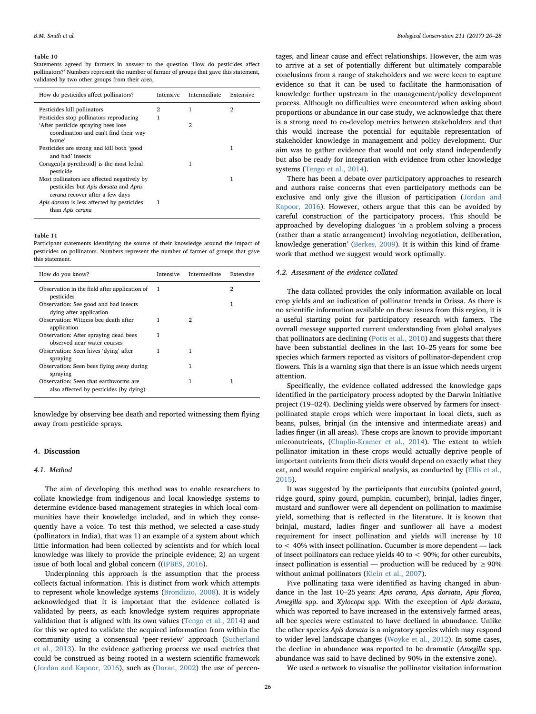#### <span id="page-6-0"></span>Table 10

Statements agreed by farmers in answer to the question 'How do pesticides affect pollinators?' Numbers represent the number of farmer of groups that gave this statement, validated by two other groups from their area,

| How do pesticides affect pollinators?                                                                                   | Intensive | Intermediate | Extensive |
|-------------------------------------------------------------------------------------------------------------------------|-----------|--------------|-----------|
| Pesticides kill pollinators                                                                                             | 2         | 1            | 2         |
| Pesticides stop pollinators reproducing                                                                                 | 1         |              |           |
| 'After pesticide spraying bees lose                                                                                     |           | 2            |           |
| coordination and can't find their way                                                                                   |           |              |           |
| home'                                                                                                                   |           |              |           |
| Pesticides are strong and kill both 'good<br>and bad' insects                                                           |           |              | 1         |
| Coragen[a pyrethroid] is the most lethal<br>pesticide                                                                   |           |              |           |
| Most pollinators are affected negatively by<br>pesticides but Apis dorsata and Apris<br>cerana recover after a few days |           |              |           |
| Apis dorsata is less affected by pesticides<br>than Apis cerana                                                         |           |              |           |
|                                                                                                                         |           |              |           |

#### <span id="page-6-1"></span>Table 11

Participant statements identifying the source of their knowledge around the impact of pesticides on pollinators. Numbers represent the number of farmer of groups that gave this statement.

| How do you know?                                                                | <b>Intensive</b> | Intermediate | Extensive |
|---------------------------------------------------------------------------------|------------------|--------------|-----------|
| Observation in the field after application of<br>pesticides                     | $\overline{1}$   |              | 2         |
| Observation: See good and bad insects<br>dying after application                |                  |              | 1         |
| Observation: Witness bee death after<br>application                             | 1                | 2            |           |
| Observation: After spraying dead bees<br>observed near water courses            | 1                |              |           |
| Observation: Seen hives 'dying' after<br>spraying                               | 1                | 1            |           |
| Observation: Seen bees flying away during<br>spraying                           |                  | 1            |           |
| Observation: Seen that earthworms are<br>also affected by pesticides (by dying) |                  | 1            |           |

knowledge by observing bee death and reported witnessing them flying away from pesticide sprays.

#### 4. Discussion

#### 4.1. Method

The aim of developing this method was to enable researchers to collate knowledge from indigenous and local knowledge systems to determine evidence-based management strategies in which local communities have their knowledge included, and in which they consequently have a voice. To test this method, we selected a case-study (pollinators in India), that was 1) an example of a system about which little information had been collected by scientists and for which local knowledge was likely to provide the principle evidence; 2) an urgent issue of both local and global concern (([IPBES, 2016\)](#page-8-1).

Underpinning this approach is the assumption that the process collects factual information. This is distinct from work which attempts to represent whole knowledge systems [\(Brondizio, 2008\)](#page-7-7). It is widely acknowledged that it is important that the evidence collated is validated by peers, as each knowledge system requires appropriate validation that is aligned with its own values ([Tengo et al., 2014\)](#page-8-17) and for this we opted to validate the acquired information from within the community using a consensual 'peer-review' approach [\(Sutherland](#page-8-0) [et al., 2013](#page-8-0)). In the evidence gathering process we used metrics that could be construed as being rooted in a western scientific framework ([Jordan and Kapoor, 2016\)](#page-8-18), such as [\(Doran, 2002\)](#page-8-19) the use of percen-

tages, and linear cause and effect relationships. However, the aim was to arrive at a set of potentially different but ultimately comparable conclusions from a range of stakeholders and we were keen to capture evidence so that it can be used to facilitate the harmonisation of knowledge further upstream in the management/policy development process. Although no difficulties were encountered when asking about proportions or abundance in our case study, we acknowledge that there is a strong need to co-develop metrics between stakeholders and that this would increase the potential for equitable representation of stakeholder knowledge in management and policy development. Our aim was to gather evidence that would not only stand independently but also be ready for integration with evidence from other knowledge systems [\(Tengo et al., 2014\)](#page-8-17).

There has been a debate over participatory approaches to research and authors raise concerns that even participatory methods can be exclusive and only give the illusion of participation [\(Jordan and](#page-8-18) [Kapoor, 2016](#page-8-18)). However, others argue that this can be avoided by careful construction of the participatory process. This should be approached by developing dialogues 'in a problem solving a process (rather than a static arrangement) involving negotiation, deliberation, knowledge generation' [\(Berkes, 2009\)](#page-7-8). It is within this kind of framework that method we suggest would work optimally.

#### 4.2. Assessment of the evidence collated

The data collated provides the only information available on local crop yields and an indication of pollinator trends in Orissa. As there is no scientific information available on these issues from this region, it is a useful starting point for participatory research with famers. The overall message supported current understanding from global analyses that pollinators are declining [\(Potts et al., 2010](#page-8-20)) and suggests that there have been substantial declines in the last 10–25 years for some bee species which farmers reported as visitors of pollinator-dependent crop flowers. This is a warning sign that there is an issue which needs urgent attention.

Specifically, the evidence collated addressed the knowledge gaps identified in the participatory process adopted by the Darwin Initiative project (19–024). Declining yields were observed by farmers for insectpollinated staple crops which were important in local diets, such as beans, pulses, brinjal (in the intensive and intermediate areas) and ladies finger (in all areas). These crops are known to provide important micronutrients, ([Chaplin-Kramer et al., 2014](#page-7-1)). The extent to which pollinator imitation in these crops would actually deprive people of important nutrients from their diets would depend on exactly what they eat, and would require empirical analysis, as conducted by [\(Ellis et al.,](#page-8-21) [2015\)](#page-8-21).

It was suggested by the participants that curcubits (pointed gourd, ridge gourd, spiny gourd, pumpkin, cucumber), brinjal, ladies finger, mustard and sunflower were all dependent on pollination to maximise yield, something that is reflected in the literature. It is known that brinjal, mustard, ladies finger and sunflower all have a modest requirement for insect pollination and yields will increase by 10 to < 40% with insect pollination. Cucumber is more dependent — lack of insect pollinators can reduce yields 40 to < 90%; for other curcubits, insect pollination is essential — production will be reduced by  $\geq 90\%$ without animal pollinators [\(Klein et al., 2007\)](#page-8-22).

Five pollinating taxa were identified as having changed in abundance in the last 10–25 years: Apis cerana, Apis dorsata, Apis florea, Amegilla spp. and Xylocopa spp. With the exception of Apis dorsata, which was reported to have increased in the extensively farmed areas, all bee species were estimated to have declined in abundance. Unlike the other species Apis dorsata is a migratory species which may respond to wider level landscape changes [\(Woyke et al., 2012](#page-8-23)). In some cases, the decline in abundance was reported to be dramatic (Amegilla spp. abundance was said to have declined by 90% in the extensive zone).

We used a network to visualise the pollinator visitation information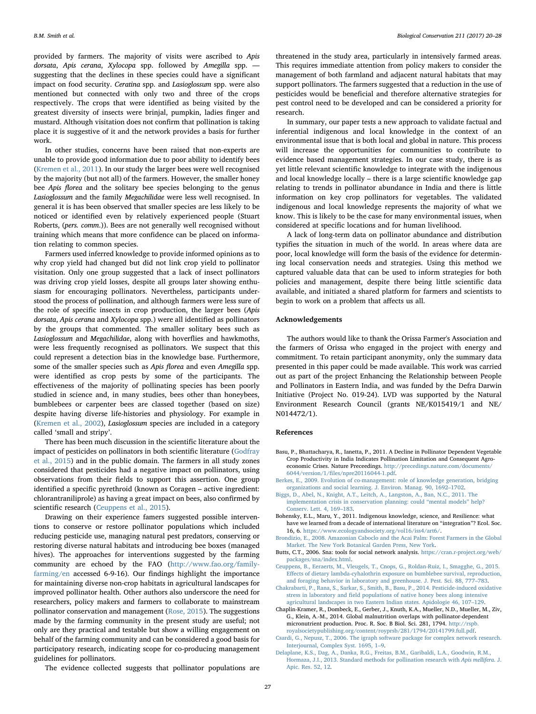provided by farmers. The majority of visits were ascribed to Apis dorsata, Apis cerana, Xylocopa spp. followed by Amegilla spp. suggesting that the declines in these species could have a significant impact on food security. Ceratina spp. and Lasioglossum spp. were also mentioned but connected with only two and three of the crops respectively. The crops that were identified as being visited by the greatest diversity of insects were brinjal, pumpkin, ladies finger and mustard. Although visitation does not confirm that pollination is taking place it is suggestive of it and the network provides a basis for further work.

In other studies, concerns have been raised that non-experts are unable to provide good information due to poor ability to identify bees ([Kremen et al., 2011\)](#page-8-24). In our study the larger bees were well recognised by the majority (but not all) of the farmers. However, the smaller honey bee Apis florea and the solitary bee species belonging to the genus Lasioglossum and the family Megachilidae were less well recognised. In general it is has been observed that smaller species are less likely to be noticed or identified even by relatively experienced people (Stuart Roberts, (pers. comm.)). Bees are not generally well recognised without training which means that more confidence can be placed on information relating to common species.

Farmers used inferred knowledge to provide informed opinions as to why crop yield had changed but did not link crop yield to pollinator visitation. Only one group suggested that a lack of insect pollinators was driving crop yield losses, despite all groups later showing enthusiasm for encouraging pollinators. Nevertheless, participants understood the process of pollination, and although farmers were less sure of the role of specific insects in crop production, the larger bees (Apis dorsata, Apis cerana and Xylocopa spp.) were all identified as pollinators by the groups that commented. The smaller solitary bees such as Lasioglossum and Megachilidae, along with hoverflies and hawkmoths, were less frequently recognised as pollinators. We suspect that this could represent a detection bias in the knowledge base. Furthermore, some of the smaller species such as Apis florea and even Amegilla spp. were identified as crop pests by some of the participants. The effectiveness of the majority of pollinating species has been poorly studied in science and, in many studies, bees other than honeybees, bumblebees or carpenter bees are classed together (based on size) despite having diverse life-histories and physiology. For example in ([Kremen et al., 2002](#page-8-25)), Lasioglossum species are included in a category called 'small and stripy'.

There has been much discussion in the scientific literature about the impact of pesticides on pollinators in both scientific literature [\(Godfray](#page-8-26) [et al., 2015\)](#page-8-26) and in the public domain. The farmers in all study zones considered that pesticides had a negative impact on pollinators, using observations from their fields to support this assertion. One group identified a specific pyrethroid (known as Coragen – active ingredient: chlorantraniliprole) as having a great impact on bees, also confirmed by scientific research [\(Ceuppens et al., 2015](#page-7-9)).

Drawing on their experience famers suggested possible interventions to conserve or restore pollinator populations which included reducing pesticide use, managing natural pest predators, conserving or restoring diverse natural habitats and introducing bee boxes (managed hives). The approaches for interventions suggested by the farming community are echoed by the FAO [\(http://www.fao.org/family](http://www.fao.org/family-farming/en)[farming/en](http://www.fao.org/family-farming/en) accessed 6-9-16). Our findings highlight the importance for maintaining diverse non-crop habitats in agricultural landscapes for improved pollinator health. Other authors also underscore the need for researchers, policy makers and farmers to collaborate to mainstream pollinator conservation and management ([Rose, 2015\)](#page-8-27). The suggestions made by the farming community in the present study are useful; not only are they practical and testable but show a willing engagement on behalf of the farming community and can be considered a good basis for participatory research, indicating scope for co-producing management guidelines for pollinators.

threatened in the study area, particularly in intensively farmed areas. This requires immediate attention from policy makers to consider the management of both farmland and adjacent natural habitats that may support pollinators. The farmers suggested that a reduction in the use of pesticides would be beneficial and therefore alternative strategies for pest control need to be developed and can be considered a priority for research.

In summary, our paper tests a new approach to validate factual and inferential indigenous and local knowledge in the context of an environmental issue that is both local and global in nature. This process will increase the opportunities for communities to contribute to evidence based management strategies. In our case study, there is as yet little relevant scientific knowledge to integrate with the indigenous and local knowledge locally – there is a large scientific knowledge gap relating to trends in pollinator abundance in India and there is little information on key crop pollinators for vegetables. The validated indigenous and local knowledge represents the majority of what we know. This is likely to be the case for many environmental issues, when considered at specific locations and for human livelihood.

A lack of long-term data on pollinator abundance and distribution typifies the situation in much of the world. In areas where data are poor, local knowledge will form the basis of the evidence for determining local conservation needs and strategies. Using this method we captured valuable data that can be used to inform strategies for both policies and management, despite there being little scientific data available, and initiated a shared platform for farmers and scientists to begin to work on a problem that affects us all.

#### Acknowledgements

The authors would like to thank the Orissa Farmer's Association and the farmers of Orissa who engaged in the project with energy and commitment. To retain participant anonymity, only the summary data presented in this paper could be made available. This work was carried out as part of the project Enhancing the Relationship between People and Pollinators in Eastern India, and was funded by the Defra Darwin Initiative (Project No. 019-24). LVD was supported by the Natural Environment Research Council (grants NE/K015419/1 and NE/ N014472/1).

#### References

- <span id="page-7-2"></span>Basu, P., Bhattacharya, R., Ianetta, P., 2011. A Decline in Pollinator Dependent Vegetable Crop Productivity in India Indicates Pollination Limitation and Consequent Agroeconomic Crises. Nature Preceedings. [http://precedings.nature.com/documents/](http://precedings.nature.com/documents/6044/version/1/files/npre20116044-1.pdf) 6044/version/1/fi[les/npre20116044-1.pdf](http://precedings.nature.com/documents/6044/version/1/files/npre20116044-1.pdf).
- <span id="page-7-8"></span>[Berkes, E., 2009. Evolution of co-management: role of knowledge generation, bridging](http://refhub.elsevier.com/S0006-3207(17)30730-9/rf0010) [organizations and social learning. J. Environ. Manag. 90, 1692](http://refhub.elsevier.com/S0006-3207(17)30730-9/rf0010)–1702.
- <span id="page-7-3"></span>[Biggs, D., Abel, N., Knight, A.T., Leitch, A., Langston, A., Ban, N.C., 2011. The](http://refhub.elsevier.com/S0006-3207(17)30730-9/rf0015) [implementation crisis in conservation planning: could](http://refhub.elsevier.com/S0006-3207(17)30730-9/rf0015) "mental models" help? [Conserv. Lett. 4, 169](http://refhub.elsevier.com/S0006-3207(17)30730-9/rf0015)–183.
- <span id="page-7-0"></span>Bohensky, E.L., Maru, Y., 2011. Indigenous knowledge, science, and Resilience: what have we learned from a decade of international literature on "integration"? Ecol. Soc. 16, 6. <https://www.ecologyandsociety.org/vol16/iss4/art6/>.
- <span id="page-7-7"></span>[Brondizio, E., 2008. Amazonian Caboclo and the Acai Palm: Forest Farmers in the Global](http://refhub.elsevier.com/S0006-3207(17)30730-9/rf0025) [Market. The New York Botanical Garden Press, New York](http://refhub.elsevier.com/S0006-3207(17)30730-9/rf0025).
- <span id="page-7-5"></span>Butts, C.T., 2006. Sna: tools for social network analysis. [https://cran.r-project.org/web/](https://cran.r-project.org/web/packages/sna/index.html) [packages/sna/index.html](https://cran.r-project.org/web/packages/sna/index.html).
- <span id="page-7-9"></span>[Ceuppens, B., Eeraerts, M., Vleugels, T., Cnops, G., Roldan-Ruiz, I., Smagghe, G., 2015.](http://refhub.elsevier.com/S0006-3207(17)30730-9/rf0035) Eff[ects of dietary lambda-cyhalothrin exposure on bumblebee survival, reproduction,](http://refhub.elsevier.com/S0006-3207(17)30730-9/rf0035) [and foraging behavior in laboratory and greenhouse. J. Pest. Sci. 88, 777](http://refhub.elsevier.com/S0006-3207(17)30730-9/rf0035)–783.
- <span id="page-7-4"></span>[Chakrabarti, P., Rana, S., Sarkar, S., Smith, B., Basu, P., 2014. Pesticide-induced oxidative](http://refhub.elsevier.com/S0006-3207(17)30730-9/rf0040) stress in laboratory and fi[eld populations of native honey bees along intensive](http://refhub.elsevier.com/S0006-3207(17)30730-9/rf0040) [agricultural landscapes in two Eastern Indian states. Apidologie 46, 107](http://refhub.elsevier.com/S0006-3207(17)30730-9/rf0040)–129.
- <span id="page-7-1"></span>Chaplin-Kramer, R., Dombeck, E., Gerber, J., Knuth, K.A., Mueller, N.D., Mueller, M., Ziv, G., Klein, A.-M., 2014. Global malnutrition overlaps with pollinator-dependent micronutrient production. Proc. R. Soc. B Biol. Sci. 281, 1794. [http://rspb.](http://rspb.royalsocietypublishing.org/content/royprsb/281/1794/20141799.full.pdf) [royalsocietypublishing.org/content/royprsb/281/1794/20141799.full.pdf.](http://rspb.royalsocietypublishing.org/content/royprsb/281/1794/20141799.full.pdf)
- <span id="page-7-6"></span>[Csardi, G., Nepusz, T., 2006. The igraph software package for complex network research.](http://refhub.elsevier.com/S0006-3207(17)30730-9/rf0050) [Interjournal, Complex Syst. 1695, 1](http://refhub.elsevier.com/S0006-3207(17)30730-9/rf0050)–9.
- [Delaplane, K.S., Dag, A., Danka, R.G., Freitas, B.M., Garibaldi, L.A., Goodwin, R.M.,](http://refhub.elsevier.com/S0006-3207(17)30730-9/rf0055) [Hormaza, J.I., 2013. Standard methods for pollination research with](http://refhub.elsevier.com/S0006-3207(17)30730-9/rf0055) Apis mellifera. J. [Apic. Res. 52, 12](http://refhub.elsevier.com/S0006-3207(17)30730-9/rf0055).